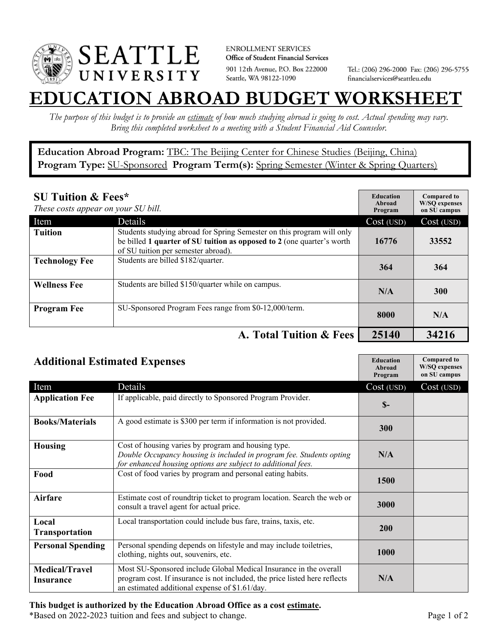

**ENROLLMENT SERVICES** Office of Student Financial Services 901 12th Avenue, P.O. Box 222000 Seattle, WA 98122-1090

Tel.: (206) 296-2000 Fax: (206) 296-5755 financialservices@seattleu.edu

## **EATION ABROAD BUDGET WORKSHEE**

*The purpose of this budget is to provide an estimate of how much studying abroad is going to cost. Actual spending may vary. Bring this completed worksheet to a meeting with a Student Financial Aid Counselor.* 

**Education Abroad Program:** TBC: The Beijing Center for Chinese Studies (Beijing, China) Program Type: **SU-Sponsored** Program Term(s): **Spring Semester** (Winter & Spring Quarters)

| <b>SU Tuition &amp; Fees*</b><br>These costs appear on your SU bill. |                                                                                                                                                                                         | <b>Education</b><br>Abroad<br>Program | <b>Compared to</b><br><b>W/SO</b> expenses<br>on SU campus |
|----------------------------------------------------------------------|-----------------------------------------------------------------------------------------------------------------------------------------------------------------------------------------|---------------------------------------|------------------------------------------------------------|
| Item                                                                 | Details                                                                                                                                                                                 | Cost (USD)                            | Cost (USD)                                                 |
| <b>Tuition</b>                                                       | Students studying abroad for Spring Semester on this program will only<br>be billed 1 quarter of SU tuition as opposed to 2 (one quarter's worth<br>of SU tuition per semester abroad). | 16776                                 | 33552                                                      |
| <b>Technology Fee</b>                                                | Students are billed \$182/quarter.                                                                                                                                                      | 364                                   | 364                                                        |
| <b>Wellness Fee</b>                                                  | Students are billed \$150/quarter while on campus.                                                                                                                                      | N/A                                   | <b>300</b>                                                 |
| <b>Program Fee</b>                                                   | SU-Sponsored Program Fees range from \$0-12,000/term.                                                                                                                                   | 8000                                  | N/A                                                        |
|                                                                      | A. Total Tuition & Fees                                                                                                                                                                 | 25140                                 | 34216                                                      |

| <b>Additional Estimated Expenses</b> |                                                                                                                                                                                                   | <b>Education</b><br>Abroad<br>Program | <b>Compared to</b><br><b>W/SQ</b> expenses<br>on SU campus |
|--------------------------------------|---------------------------------------------------------------------------------------------------------------------------------------------------------------------------------------------------|---------------------------------------|------------------------------------------------------------|
| Item                                 | Details                                                                                                                                                                                           | Cost (USD)                            | Cost (USD)                                                 |
| <b>Application Fee</b>               | If applicable, paid directly to Sponsored Program Provider.                                                                                                                                       | $S-$                                  |                                                            |
| <b>Books/Materials</b>               | A good estimate is \$300 per term if information is not provided.                                                                                                                                 | 300                                   |                                                            |
| Housing                              | Cost of housing varies by program and housing type.<br>Double Occupancy housing is included in program fee. Students opting<br>for enhanced housing options are subject to additional fees.       | N/A                                   |                                                            |
| Food                                 | Cost of food varies by program and personal eating habits.                                                                                                                                        | 1500                                  |                                                            |
| Airfare                              | Estimate cost of roundtrip ticket to program location. Search the web or<br>consult a travel agent for actual price.                                                                              | 3000                                  |                                                            |
| Local<br>Transportation              | Local transportation could include bus fare, trains, taxis, etc.                                                                                                                                  | 200                                   |                                                            |
| <b>Personal Spending</b>             | Personal spending depends on lifestyle and may include toiletries,<br>clothing, nights out, souvenirs, etc.                                                                                       | 1000                                  |                                                            |
| <b>Medical/Travel</b><br>Insurance   | Most SU-Sponsored include Global Medical Insurance in the overall<br>program cost. If insurance is not included, the price listed here reflects<br>an estimated additional expense of \$1.61/day. | N/A                                   |                                                            |

## **This budget is authorized by the Education Abroad Office as a cost estimate.**

\*Based on 2022-2023 tuition and fees and subject to change. Page 1 of 2